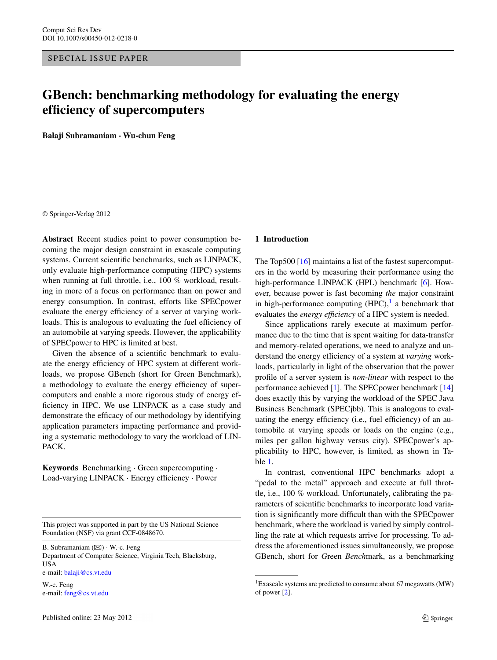# **GBench: benchmarking methodology for evaluating the energy efficiency of supercomputers**

**Balaji Subramaniam · Wu-chun Feng**

© Springer-Verlag 2012

**Abstract** Recent studies point to power consumption becoming the major design constraint in exascale computing systems. Current scientific benchmarks, such as LINPACK, only evaluate high-performance computing (HPC) systems when running at full throttle, i.e., 100 % workload, resulting in more of a focus on performance than on power and energy consumption. In contrast, efforts like SPECpower evaluate the energy efficiency of a server at varying workloads. This is analogous to evaluating the fuel efficiency of an automobile at varying speeds. However, the applicability of SPECpower to HPC is limited at best.

Given the absence of a scientific benchmark to evaluate the energy efficiency of HPC system at different workloads, we propose GBench (short for Green Benchmark), a methodology to evaluate the energy efficiency of supercomputers and enable a more rigorous study of energy efficiency in HPC. We use LINPACK as a case study and demonstrate the efficacy of our methodology by identifying application parameters impacting performance and providing a systematic methodology to vary the workload of LIN-PACK.

**Keywords** Benchmarking · Green supercomputing · Load-varying LINPACK · Energy efficiency · Power

This project was supported in part by the US National Science Foundation (NSF) via grant CCF-0848670.

B. Subramaniam ( $\boxtimes$ ) · W.-c. Feng

Department of Computer Science, Virginia Tech, Blacksburg, USA

e-mail: [balaji@cs.vt.edu](mailto:balaji@cs.vt.edu)

W.-c. Feng e-mail: [feng@cs.vt.edu](mailto:feng@cs.vt.edu)

### **1 Introduction**

The Top500 [\[16](#page-9-0)] maintains a list of the fastest supercomputers in the world by measuring their performance using the high-performance LINPACK (HPL) benchmark [\[6](#page-8-0)]. However, because power is fast becoming *the* major constraint in high-performance computing  $(HPC)$ , a benchmark that evaluates the *energy efficiency* of a HPC system is needed.

Since applications rarely execute at maximum performance due to the time that is spent waiting for data-transfer and memory-related operations, we need to analyze and understand the energy efficiency of a system at *varying* workloads, particularly in light of the observation that the power profile of a server system is *non-linear* with respect to the performance achieved [\[1](#page-8-1)]. The SPECpower benchmark [[14\]](#page-9-1) does exactly this by varying the workload of the SPEC Java Business Benchmark (SPECjbb). This is analogous to evaluating the energy efficiency (i.e., fuel efficiency) of an automobile at varying speeds or loads on the engine (e.g., miles per gallon highway versus city). SPECpower's applicability to HPC, however, is limited, as shown in Table [1.](#page-1-0)

<span id="page-0-0"></span>In contrast, conventional HPC benchmarks adopt a "pedal to the metal" approach and execute at full throttle, i.e., 100 % workload. Unfortunately, calibrating the parameters of scientific benchmarks to incorporate load variation is significantly more difficult than with the SPECpower benchmark, where the workload is varied by simply controlling the rate at which requests arrive for processing. To address the aforementioned issues simultaneously, we propose GBench, short for *G*reen *Bench*mark, as a benchmarking

<sup>1</sup>Exascale systems are predicted to consume about 67 megawatts (MW) of power [[2](#page-8-2)].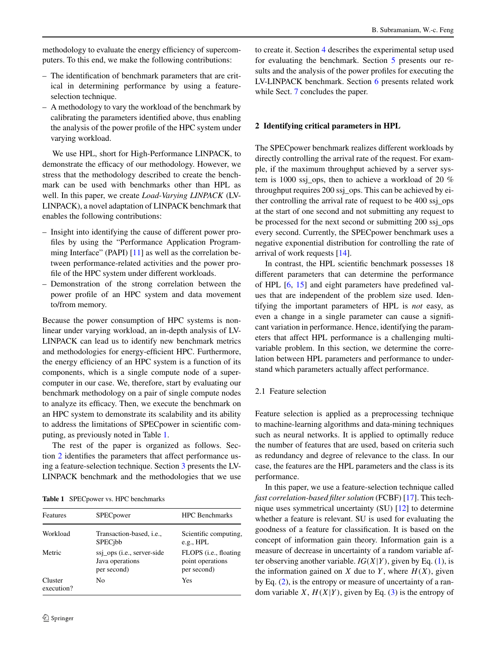methodology to evaluate the energy efficiency of supercomputers. To this end, we make the following contributions:

- The identification of benchmark parameters that are critical in determining performance by using a featureselection technique.
- A methodology to vary the workload of the benchmark by calibrating the parameters identified above, thus enabling the analysis of the power profile of the HPC system under varying workload.

We use HPL, short for High-Performance LINPACK, to demonstrate the efficacy of our methodology. However, we stress that the methodology described to create the benchmark can be used with benchmarks other than HPL as well. In this paper, we create *Load-Varying LINPACK* (LV-LINPACK), a novel adaptation of LINPACK benchmark that enables the following contributions:

- Insight into identifying the cause of different power profiles by using the "Performance Application Program-ming Interface" (PAPI) [\[11\]](#page-9-2) as well as the correlation between performance-related activities and the power profile of the HPC system under different workloads.
- Demonstration of the strong correlation between the power profile of an HPC system and data movement to/from memory.

Because the power consumption of HPC systems is nonlinear under varying workload, an in-depth analysis of LV-LINPACK can lead us to identify new benchmark metrics and methodologies for energy-efficient HPC. Furthermore, the energy efficiency of an HPC system is a function of its components, which is a single compute node of a supercomputer in our case. We, therefore, start by evaluating our benchmark methodology on a pair of single compute nodes to analyze its efficacy. Then, we execute the benchmark on an HPC system to demonstrate its scalability and its ability to address the limitations of SPECpower in scientific computing, as previously noted in Table [1.](#page-1-0)

<span id="page-1-0"></span>The rest of the paper is organized as follows. Section [2](#page-1-1) identifies the parameters that affect performance using a feature-selection technique. Section [3](#page-2-0) presents the LV-LINPACK benchmark and the methodologies that we use

**Table 1** SPECpower vs. HPC benchmarks

| Features              | <b>SPEC</b> power                                            | <b>HPC</b> Benchmarks                                             |  |
|-----------------------|--------------------------------------------------------------|-------------------------------------------------------------------|--|
| Workload              | Transaction-based, <i>i.e.</i> ,<br><b>SPEC</b> jbb          | Scientific computing,<br>e.g., HPL                                |  |
| Metric                | ssj_ops (i.e., server-side<br>Java operations<br>per second) | FLOPS ( <i>i.e.</i> , floating<br>point operations<br>per second) |  |
| Cluster<br>execution? | No.                                                          | Yes                                                               |  |

<span id="page-1-1"></span>to create it. Section [4](#page-3-0) describes the experimental setup used for evaluating the benchmark. Section [5](#page-3-1) presents our results and the analysis of the power profiles for executing the LV-LINPACK benchmark. Section [6](#page-7-0) presents related work while Sect. [7](#page-8-3) concludes the paper.

### **2 Identifying critical parameters in HPL**

The SPECpower benchmark realizes different workloads by directly controlling the arrival rate of the request. For example, if the maximum throughput achieved by a server system is 1000 ssj\_ops, then to achieve a workload of 20 % throughput requires 200 ssj\_ops. This can be achieved by either controlling the arrival rate of request to be 400 ssj\_ops at the start of one second and not submitting any request to be processed for the next second or submitting 200 ssj\_ops every second. Currently, the SPECpower benchmark uses a negative exponential distribution for controlling the rate of arrival of work requests [[14\]](#page-9-1).

In contrast, the HPL scientific benchmark possesses 18 different parameters that can determine the performance of HPL [[6,](#page-8-0) [15\]](#page-9-3) and eight parameters have predefined values that are independent of the problem size used. Identifying the important parameters of HPL is *not* easy, as even a change in a single parameter can cause a significant variation in performance. Hence, identifying the parameters that affect HPL performance is a challenging multivariable problem. In this section, we determine the correlation between HPL parameters and performance to understand which parameters actually affect performance.

### 2.1 Feature selection

Feature selection is applied as a preprocessing technique to machine-learning algorithms and data-mining techniques such as neural networks. It is applied to optimally reduce the number of features that are used, based on criteria such as redundancy and degree of relevance to the class. In our case, the features are the HPL parameters and the class is its performance.

In this paper, we use a feature-selection technique called *fast correlation-based filter solution* (FCBF) [[17\]](#page-9-4). This technique uses symmetrical uncertainty (SU) [\[12](#page-9-5)] to determine whether a feature is relevant. SU is used for evaluating the goodness of a feature for classification. It is based on the concept of information gain theory. Information gain is a measure of decrease in uncertainty of a random variable after observing another variable.  $IG(X|Y)$ , given by Eq. [\(1](#page-2-1)), is the information gained on *X* due to *Y*, where  $H(X)$ , given by Eq. [\(2](#page-2-2)), is the entropy or measure of uncertainty of a random variable *X*,  $H(X|Y)$ , given by Eq. [\(3](#page-2-3)) is the entropy of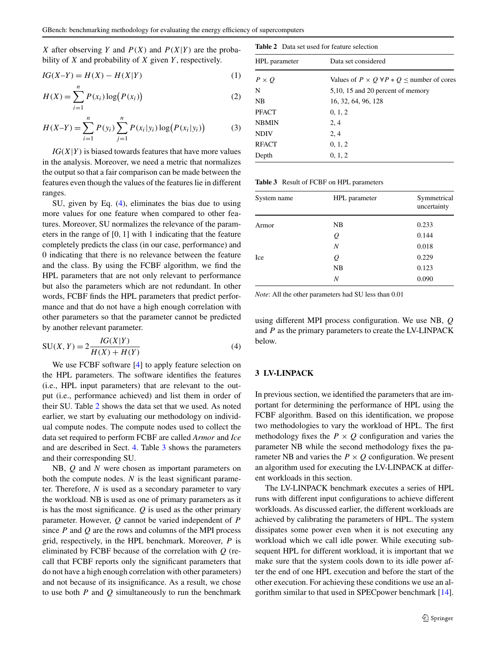<span id="page-2-3"></span><span id="page-2-2"></span><span id="page-2-1"></span>*X* after observing *Y* and  $P(X)$  and  $P(X|Y)$  are the probability of *X* and probability of *X* given *Y* , respectively.

$$
IG(X - Y) = H(X) - H(X|Y)
$$
 (1)

$$
H(X) = \sum_{i=1}^{n} P(x_i) \log (P(x_i))
$$
 (2)

$$
H(X-Y) = \sum_{i=1}^{n} P(y_i) \sum_{j=1}^{n} P(x_i | y_i) \log (P(x_i | y_i))
$$
 (3)

 $IG(X|Y)$  is biased towards features that have more values in the analysis. Moreover, we need a metric that normalizes the output so that a fair comparison can be made between the features even though the values of the features lie in different ranges.

<span id="page-2-4"></span>SU, given by Eq. [\(4](#page-2-4)), eliminates the bias due to using more values for one feature when compared to other features. Moreover, SU normalizes the relevance of the parameters in the range of [0*,* 1] with 1 indicating that the feature completely predicts the class (in our case, performance) and 0 indicating that there is no relevance between the feature and the class. By using the FCBF algorithm, we find the HPL parameters that are not only relevant to performance but also the parameters which are not redundant. In other words, FCBF finds the HPL parameters that predict performance and that do not have a high enough correlation with other parameters so that the parameter cannot be predicted by another relevant parameter.

$$
SU(X, Y) = 2 \frac{IG(X|Y)}{H(X) + H(Y)}
$$
(4)

We use FCBF software [[4\]](#page-8-4) to apply feature selection on the HPL parameters. The software identifies the features (i.e., HPL input parameters) that are relevant to the output (i.e., performance achieved) and list them in order of their SU. Table [2](#page-2-5) shows the data set that we used. As noted earlier, we start by evaluating our methodology on individual compute nodes. The compute nodes used to collect the data set required to perform FCBF are called *Armor* and *Ice* and are described in Sect. [4](#page-3-0). Table [3](#page-2-6) shows the parameters and their corresponding SU.

NB, *Q* and *N* were chosen as important parameters on both the compute nodes. *N* is the least significant parameter. Therefore, *N* is used as a secondary parameter to vary the workload. NB is used as one of primary parameters as it is has the most significance. *Q* is used as the other primary parameter. However, *Q* cannot be varied independent of *P* since *P* and *Q* are the rows and columns of the MPI process grid, respectively, in the HPL benchmark. Moreover, *P* is eliminated by FCBF because of the correlation with *Q* (recall that FCBF reports only the significant parameters that do not have a high enough correlation with other parameters) and not because of its insignificance. As a result, we chose to use both *P* and *Q* simultaneously to run the benchmark

<span id="page-2-6"></span><span id="page-2-5"></span>

| <b>Table 2</b> Data set used for feature selection |                                                          |  |  |
|----------------------------------------------------|----------------------------------------------------------|--|--|
| HPL parameter                                      | Data set considered                                      |  |  |
| $P \times Q$                                       | Values of $P \times Q \forall P * Q \le$ number of cores |  |  |
| N                                                  | 5,10, 15 and 20 percent of memory                        |  |  |
| NB                                                 | 16, 32, 64, 96, 128                                      |  |  |
| <b>PFACT</b>                                       | 0, 1, 2                                                  |  |  |
| <b>NBMIN</b>                                       | 2, 4                                                     |  |  |
| <b>NDIV</b>                                        | 2, 4                                                     |  |  |
| <b>RFACT</b>                                       | 0, 1, 2                                                  |  |  |
| Depth                                              | 0, 1, 2                                                  |  |  |

**Table 3** Result of FCBF on HPL parameters

| System name | HPL parameter | Symmetrical<br>uncertainty |
|-------------|---------------|----------------------------|
| Armor       | NB            | 0.233                      |
|             | Q             | 0.144                      |
|             | N             | 0.018                      |
| Ice         | Q             | 0.229                      |
|             | NB            | 0.123                      |
|             | Ν             | 0.090                      |

*Note*: All the other parameters had SU less than 0.01

<span id="page-2-0"></span>using different MPI process configuration. We use NB, *Q* and *P* as the primary parameters to create the LV-LINPACK below.

### **3 LV-LINPACK**

In previous section, we identified the parameters that are important for determining the performance of HPL using the FCBF algorithm. Based on this identification, we propose two methodologies to vary the workload of HPL. The first methodology fixes the  $P \times Q$  configuration and varies the parameter NB while the second methodology fixes the parameter NB and varies the  $P \times Q$  configuration. We present an algorithm used for executing the LV-LINPACK at different workloads in this section.

The LV-LINPACK benchmark executes a series of HPL runs with different input configurations to achieve different workloads. As discussed earlier, the different workloads are achieved by calibrating the parameters of HPL. The system dissipates some power even when it is not executing any workload which we call idle power. While executing subsequent HPL for different workload, it is important that we make sure that the system cools down to its idle power after the end of one HPL execution and before the start of the other execution. For achieving these conditions we use an algorithm similar to that used in SPECpower benchmark [\[14](#page-9-1)].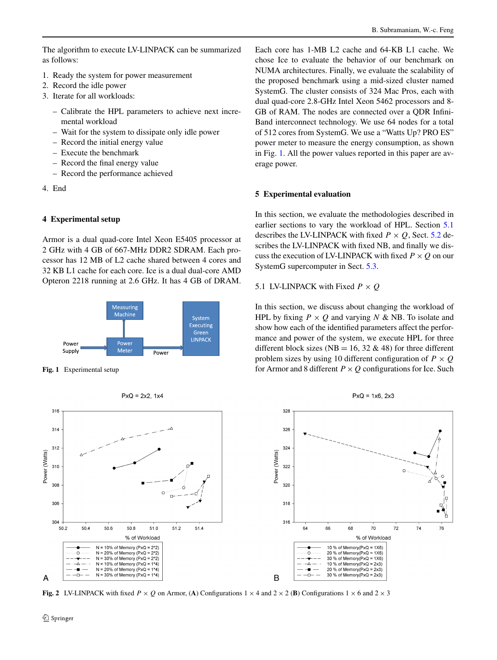- 1. Ready the system for power measurement
- 2. Record the idle power
- 3. Iterate for all workloads:
	- Calibrate the HPL parameters to achieve next incremental workload
	- Wait for the system to dissipate only idle power
	- Record the initial energy value
	- Execute the benchmark
	- Record the final energy value
	- Record the performance achieved
- <span id="page-3-0"></span>4. End

## **4 Experimental setup**

Armor is a dual quad-core Intel Xeon E5405 processor at 2 GHz with 4 GB of 667-MHz DDR2 SDRAM. Each processor has 12 MB of L2 cache shared between 4 cores and 32 KB L1 cache for each core. Ice is a dual dual-core AMD Opteron 2218 running at 2.6 GHz. It has 4 GB of DRAM.

<span id="page-3-2"></span>

**Fig. 1** Experimental setup



<span id="page-3-4"></span>**Fig. 2** LV-LINPACK with fixed  $P \times Q$  on Armor, (A) Configurations  $1 \times 4$  and  $2 \times 2$  (**B**) Configurations  $1 \times 6$  and  $2 \times 3$ 

Each core has 1-MB L2 cache and 64-KB L1 cache. We chose Ice to evaluate the behavior of our benchmark on NUMA architectures. Finally, we evaluate the scalability of the proposed benchmark using a mid-sized cluster named SystemG. The cluster consists of 324 Mac Pros, each with dual quad-core 2.8-GHz Intel Xeon 5462 processors and 8- GB of RAM. The nodes are connected over a QDR Infini-Band interconnect technology. We use 64 nodes for a total of 512 cores from SystemG. We use a "Watts Up? PRO ES" power meter to measure the energy consumption, as shown in Fig. [1](#page-3-2). All the power values reported in this paper are average power.

# <span id="page-3-1"></span>**5 Experimental evaluation**

<span id="page-3-3"></span>In this section, we evaluate the methodologies described in earlier sections to vary the workload of HPL. Section [5.1](#page-3-3) describes the LV-LINPACK with fixed  $P \times Q$ , Sect. [5.2](#page-4-0) describes the LV-LINPACK with fixed NB, and finally we discuss the execution of LV-LINPACK with fixed  $P \times Q$  on our SystemG supercomputer in Sect. [5.3](#page-6-0).

# 5.1 LV-LINPACK with Fixed  $P \times Q$

In this section, we discuss about changing the workload of HPL by fixing  $P \times Q$  and varying *N* & NB. To isolate and show how each of the identified parameters affect the performance and power of the system, we execute HPL for three different block sizes (NB = 16, 32  $\&$  48) for three different problem sizes by using 10 different configuration of  $P \times Q$ for Armor and 8 different  $P \times Q$  configurations for Ice. Such



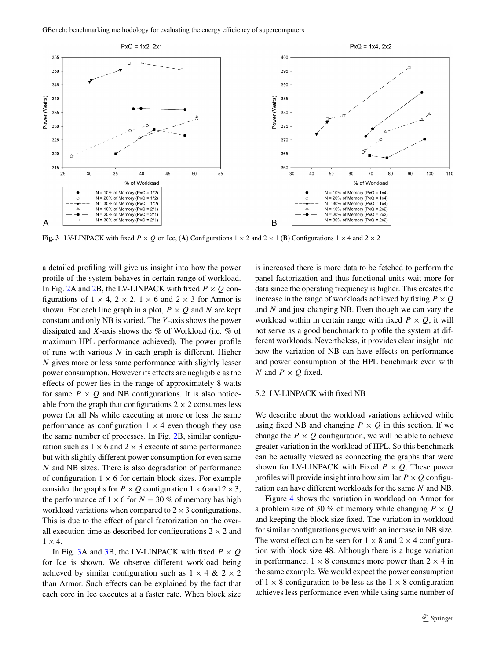

<span id="page-4-1"></span>**Fig. 3** LV-LINPACK with fixed  $P \times Q$  on Ice, (A) Configurations  $1 \times 2$  and  $2 \times 1$  (**B**) Configurations  $1 \times 4$  and  $2 \times 2$ 

a detailed profiling will give us insight into how the power profile of the system behaves in certain range of workload. In Fig. [2](#page-3-4)A and 2B, the LV-LINPACK with fixed  $P \times Q$  configurations of  $1 \times 4$ ,  $2 \times 2$ ,  $1 \times 6$  and  $2 \times 3$  for Armor is shown. For each line graph in a plot,  $P \times Q$  and N are kept constant and only NB is varied. The *Y* -axis shows the power dissipated and *X*-axis shows the % of Workload (i.e. % of maximum HPL performance achieved). The power profile of runs with various *N* in each graph is different. Higher *N* gives more or less same performance with slightly lesser power consumption. However its effects are negligible as the effects of power lies in the range of approximately 8 watts for same  $P \times Q$  and NB configurations. It is also noticeable from the graph that configurations  $2 \times 2$  consumes less power for all Ns while executing at more or less the same performance as configuration  $1 \times 4$  even though they use the same number of processes. In Fig. [2B](#page-3-4), similar configuration such as  $1 \times 6$  and  $2 \times 3$  execute at same performance but with slightly different power consumption for even same *N* and NB sizes. There is also degradation of performance of configuration  $1 \times 6$  for certain block sizes. For example consider the graphs for  $P \times Q$  configuration  $1 \times 6$  and  $2 \times 3$ , the performance of  $1 \times 6$  for  $N = 30\%$  of memory has high workload variations when compared to  $2 \times 3$  configurations. This is due to the effect of panel factorization on the overall execution time as described for configurations  $2 \times 2$  and  $1 \times 4$ .

In Fig. [3A](#page-4-1) and [3](#page-4-1)B, the LV-LINPACK with fixed  $P \times Q$ for Ice is shown. We observe different workload being achieved by similar configuration such as  $1 \times 4 \& 2 \times 2$ than Armor. Such effects can be explained by the fact that each core in Ice executes at a faster rate. When block size

<span id="page-4-0"></span>is increased there is more data to be fetched to perform the panel factorization and thus functional units wait more for data since the operating frequency is higher. This creates the increase in the range of workloads achieved by fixing  $P \times Q$ and *N* and just changing NB. Even though we can vary the workload within in certain range with fixed  $P \times Q$ , it will not serve as a good benchmark to profile the system at different workloads. Nevertheless, it provides clear insight into how the variation of NB can have effects on performance and power consumption of the HPL benchmark even with *N* and  $P \times Q$  fixed.

#### 5.2 LV-LINPACK with fixed NB

We describe about the workload variations achieved while using fixed NB and changing  $P \times Q$  in this section. If we change the  $P \times Q$  configuration, we will be able to achieve greater variation in the workload of HPL. So this benchmark can be actually viewed as connecting the graphs that were shown for LV-LINPACK with Fixed  $P \times Q$ . These power profiles will provide insight into how similar  $P \times Q$  configuration can have different workloads for the same *N* and NB.

Figure [4](#page-5-0) shows the variation in workload on Armor for a problem size of 30 % of memory while changing  $P \times Q$ and keeping the block size fixed. The variation in workload for similar configurations grows with an increase in NB size. The worst effect can be seen for  $1 \times 8$  and  $2 \times 4$  configuration with block size 48. Although there is a huge variation in performance,  $1 \times 8$  consumes more power than  $2 \times 4$  in the same example. We would expect the power consumption of  $1 \times 8$  configuration to be less as the  $1 \times 8$  configuration achieves less performance even while using same number of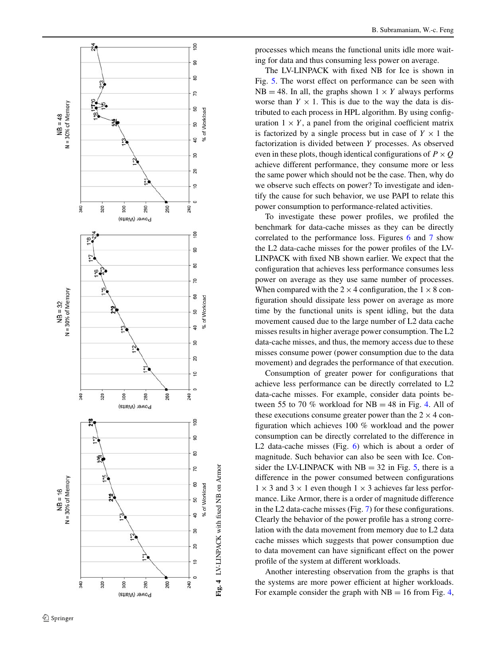

processes which means the functional units idle more waiting for data and thus consuming less power on average.

The LV-LINPACK with fixed NB for Ice is shown in Fig. [5](#page-6-1). The worst effect on performance can be seen with  $NB = 48$ . In all, the graphs shown  $1 \times Y$  always performs worse than  $Y \times 1$ . This is due to the way the data is distributed to each process in HPL algorithm. By using configuration  $1 \times Y$ , a panel from the original coefficient matrix is factorized by a single process but in case of  $Y \times 1$  the factorization is divided between *Y* processes. As observed even in these plots, though identical configurations of  $P \times Q$ achieve different performance, they consume more or less the same power which should not be the case. Then, why do we observe such effects on power? To investigate and identify the cause for such behavior, we use PAPI to relate this power consumption to performance-related activities.

To investigate these power profiles, we profiled the benchmark for data-cache misses as they can be directly correlated to the performance loss. Figures [6](#page-7-1) and [7](#page-7-2) show the L2 data-cache misses for the power profiles of the LV-LINPACK with fixed NB shown earlier. We expect that the configuration that achieves less performance consumes less power on average as they use same number of processes. When compared with the  $2 \times 4$  configuration, the  $1 \times 8$  configuration should dissipate less power on average as more time by the functional units is spent idling, but the data movement caused due to the large number of L2 data cache misses results in higher average power consumption. The L2 data-cache misses, and thus, the memory access due to these misses consume power (power consumption due to the data movement) and degrades the performance of that execution.

Consumption of greater power for configurations that achieve less performance can be directly correlated to L2 data-cache misses. For example, consider data points between 55 to 70 % workload for  $NB = 48$  in Fig. [4.](#page-5-0) All of these executions consume greater power than the  $2 \times 4$  configuration which achieves 100 % workload and the power consumption can be directly correlated to the difference in L2 data-cache misses (Fig. [6\)](#page-7-1) which is about a order of magnitude. Such behavior can also be seen with Ice. Consider the LV-LINPACK with  $NB = 32$  in Fig. [5](#page-6-1), there is a difference in the power consumed between configurations  $1 \times 3$  and  $3 \times 1$  even though  $1 \times 3$  achieves far less performance. Like Armor, there is a order of magnitude difference in the L2 data-cache misses (Fig. [7\)](#page-7-2) for these configurations. Clearly the behavior of the power profile has a strong correlation with the data movement from memory due to L2 data cache misses which suggests that power consumption due to data movement can have significant effect on the power profile of the system at different workloads.

<span id="page-5-0"></span>Another interesting observation from the graphs is that the systems are more power efficient at higher workloads. For example consider the graph with  $NB = 16$  from Fig. [4](#page-5-0),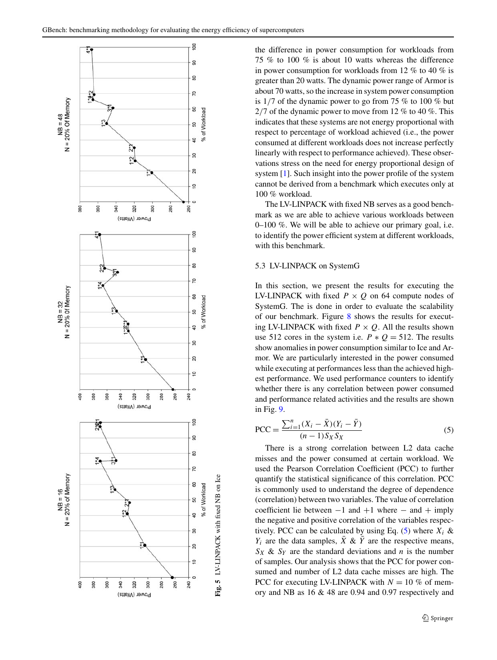

the difference in power consumption for workloads from 75 % to 100 % is about 10 watts whereas the difference in power consumption for workloads from 12 % to 40 % is greater than 20 watts. The dynamic power range of Armor is about 70 watts, so the increase in system power consumption is 1*/*7 of the dynamic power to go from 75 % to 100 % but 2*/*7 of the dynamic power to move from 12 % to 40 %. This indicates that these systems are not energy proportional with respect to percentage of workload achieved (i.e., the power consumed at different workloads does not increase perfectly linearly with respect to performance achieved). These observations stress on the need for energy proportional design of system [\[1](#page-8-1)]. Such insight into the power profile of the system cannot be derived from a benchmark which executes only at 100 % workload.

<span id="page-6-0"></span>The LV-LINPACK with fixed NB serves as a good benchmark as we are able to achieve various workloads between 0–100 %. We will be able to achieve our primary goal, i.e. to identify the power efficient system at different workloads, with this benchmark.

### 5.3 LV-LINPACK on SystemG

In this section, we present the results for executing the LV-LINPACK with fixed  $P \times Q$  on 64 compute nodes of SystemG. The is done in order to evaluate the scalability of our benchmark. Figure [8](#page-7-3) shows the results for executing LV-LINPACK with fixed  $P \times Q$ . All the results shown use 512 cores in the system i.e.  $P * Q = 512$ . The results show anomalies in power consumption similar to Ice and Armor. We are particularly interested in the power consumed while executing at performances less than the achieved highest performance. We used performance counters to identify whether there is any correlation between power consumed and performance related activities and the results are shown in Fig. [9](#page-8-5).

<span id="page-6-2"></span>
$$
PCC = \frac{\sum_{i=1}^{n} (X_i - \bar{X})(Y_i - \bar{Y})}{(n-1)S_X S_X}
$$
 (5)

<span id="page-6-1"></span>There is a strong correlation between L2 data cache misses and the power consumed at certain workload. We used the Pearson Correlation Coefficient (PCC) to further quantify the statistical significance of this correlation. PCC is commonly used to understand the degree of dependence (correlation) between two variables. The value of correlation coefficient lie between  $-1$  and  $+1$  where  $-$  and  $+$  imply the negative and positive correlation of the variables respectively. PCC can be calculated by using Eq.  $(5)$  $(5)$  where  $X_i$  &  $Y_i$  are the data samples,  $\bar{X} \& \bar{Y}$  are the respective means,  $S_X \& S_Y$  are the standard deviations and *n* is the number of samples. Our analysis shows that the PCC for power consumed and number of L2 data cache misses are high. The PCC for executing LV-LINPACK with  $N = 10\%$  of memory and NB as 16 & 48 are 0.94 and 0.97 respectively and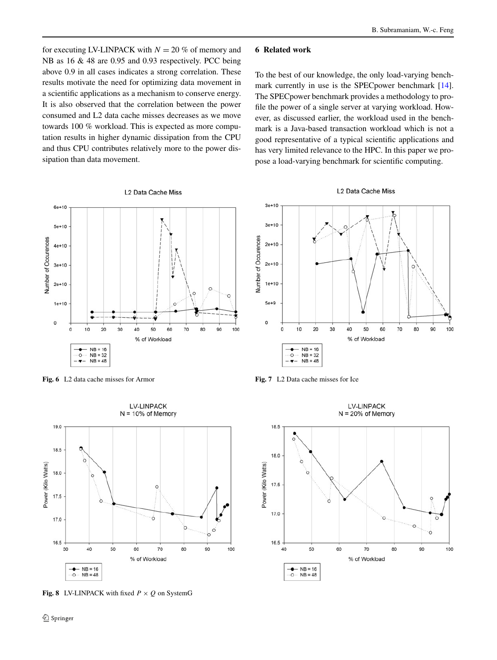for executing LV-LINPACK with  $N = 20$  % of memory and NB as 16 & 48 are 0.95 and 0.93 respectively. PCC being above 0.9 in all cases indicates a strong correlation. These results motivate the need for optimizing data movement in a scientific applications as a mechanism to conserve energy. It is also observed that the correlation between the power consumed and L2 data cache misses decreases as we move towards 100 % workload. This is expected as more computation results in higher dynamic dissipation from the CPU and thus CPU contributes relatively more to the power dissipation than data movement.

### <span id="page-7-0"></span>**6 Related work**

To the best of our knowledge, the only load-varying benchmark currently in use is the SPECpower benchmark [\[14](#page-9-1)]. The SPECpower benchmark provides a methodology to profile the power of a single server at varying workload. However, as discussed earlier, the workload used in the benchmark is a Java-based transaction workload which is not a good representative of a typical scientific applications and has very limited relevance to the HPC. In this paper we propose a load-varying benchmark for scientific computing.



<span id="page-7-1"></span>**Fig. 6** L2 data cache misses for Armor



<span id="page-7-3"></span>**Fig. 8** LV-LINPACK with fixed  $P \times Q$  on SystemG





<span id="page-7-2"></span>**Fig. 7** L2 Data cache misses for Ice

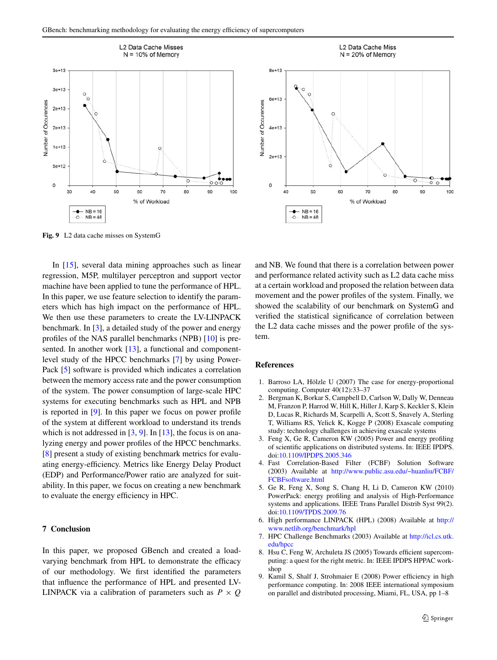

<span id="page-8-5"></span>**Fig. 9** L2 data cache misses on SystemG

In [\[15](#page-9-3)], several data mining approaches such as linear regression, M5P, multilayer perceptron and support vector machine have been applied to tune the performance of HPL. In this paper, we use feature selection to identify the parameters which has high impact on the performance of HPL. We then use these parameters to create the LV-LINPACK benchmark. In [\[3](#page-8-6)], a detailed study of the power and energy profiles of the NAS parallel benchmarks (NPB) [\[10](#page-9-6)] is pre-sented. In another work [[13](#page-9-7)], a functional and componentlevel study of the HPCC benchmarks [\[7](#page-8-7)] by using Power-Pack [\[5](#page-8-8)] software is provided which indicates a correlation between the memory access rate and the power consumption of the system. The power consumption of large-scale HPC systems for executing benchmarks such as HPL and NPB is reported in [\[9](#page-8-9)]. In this paper we focus on power profile of the system at different workload to understand its trends which is not addressed in  $[3, 9]$  $[3, 9]$  $[3, 9]$  $[3, 9]$ . In  $[13]$  $[13]$ , the focus is on analyzing energy and power profiles of the HPCC benchmarks. [\[8](#page-8-10)] present a study of existing benchmark metrics for evaluating energy-efficiency. Metrics like Energy Delay Product (EDP) and Performance/Power ratio are analyzed for suitability. In this paper, we focus on creating a new benchmark to evaluate the energy efficiency in HPC.

### <span id="page-8-3"></span>**7 Conclusion**

In this paper, we proposed GBench and created a loadvarying benchmark from HPL to demonstrate the efficacy of our methodology. We first identified the parameters that influence the performance of HPL and presented LV-LINPACK via a calibration of parameters such as  $P \times Q$ 



<span id="page-8-1"></span>and NB. We found that there is a correlation between power and performance related activity such as L2 data cache miss at a certain workload and proposed the relation between data movement and the power profiles of the system. Finally, we showed the scalability of our benchmark on SystemG and verified the statistical significance of correlation between the L2 data cache misses and the power profile of the system.

### <span id="page-8-6"></span><span id="page-8-2"></span>**References**

- <span id="page-8-4"></span>1. Barroso LA, Hölzle U (2007) The case for energy-proportional computing. Computer 40(12):33–37
- <span id="page-8-8"></span>2. Bergman K, Borkar S, Campbell D, Carlson W, Dally W, Denneau M, Franzon P, Harrod W, Hill K, Hiller J, Karp S, Keckler S, Klein D, Lucas R, Richards M, Scarpelli A, Scott S, Snavely A, Sterling T, Williams RS, Yelick K, Kogge P (2008) Exascale computing study: technology challenges in achieving exascale systems
- <span id="page-8-0"></span>3. Feng X, Ge R, Cameron KW (2005) Power and energy profiling of scientific applications on distributed systems. In: IEEE IPDPS. doi:[10.1109/IPDPS.2005.346](http://dx.doi.org/10.1109/IPDPS.2005.346)
- <span id="page-8-7"></span>4. Fast Correlation-Based Filter (FCBF) Solution Software (2003) Available at [http://www.public.asu.edu/~huanliu/FCBF/](http://www.public.asu.edu/~huanliu/FCBF/FCBFsoftware.html) [FCBFsoftware.html](http://www.public.asu.edu/~huanliu/FCBF/FCBFsoftware.html)
- <span id="page-8-10"></span><span id="page-8-9"></span>5. Ge R, Feng X, Song S, Chang H, Li D, Cameron KW (2010) PowerPack: energy profiling and analysis of High-Performance systems and applications. IEEE Trans Parallel Distrib Syst 99(2). doi:[10.1109/TPDS.2009.76](http://dx.doi.org/10.1109/TPDS.2009.76)
- 6. High performance LINPACK (HPL) (2008) Available at [http://](http://www.netlib.org/benchmark/hpl) [www.netlib.org/benchmark/hpl](http://www.netlib.org/benchmark/hpl)
- 7. HPC Challenge Benchmarks (2003) Available at [http://icl.cs.utk.](http://icl.cs.utk.edu/hpcc) [edu/hpcc](http://icl.cs.utk.edu/hpcc)
- 8. Hsu C, Feng W, Archuleta JS (2005) Towards efficient supercomputing: a quest for the right metric. In: IEEE IPDPS HPPAC workshop
- 9. Kamil S, Shalf J, Strohmaier E (2008) Power efficiency in high performance computing. In: 2008 IEEE international symposium on parallel and distributed processing, Miami, FL, USA, pp 1–8